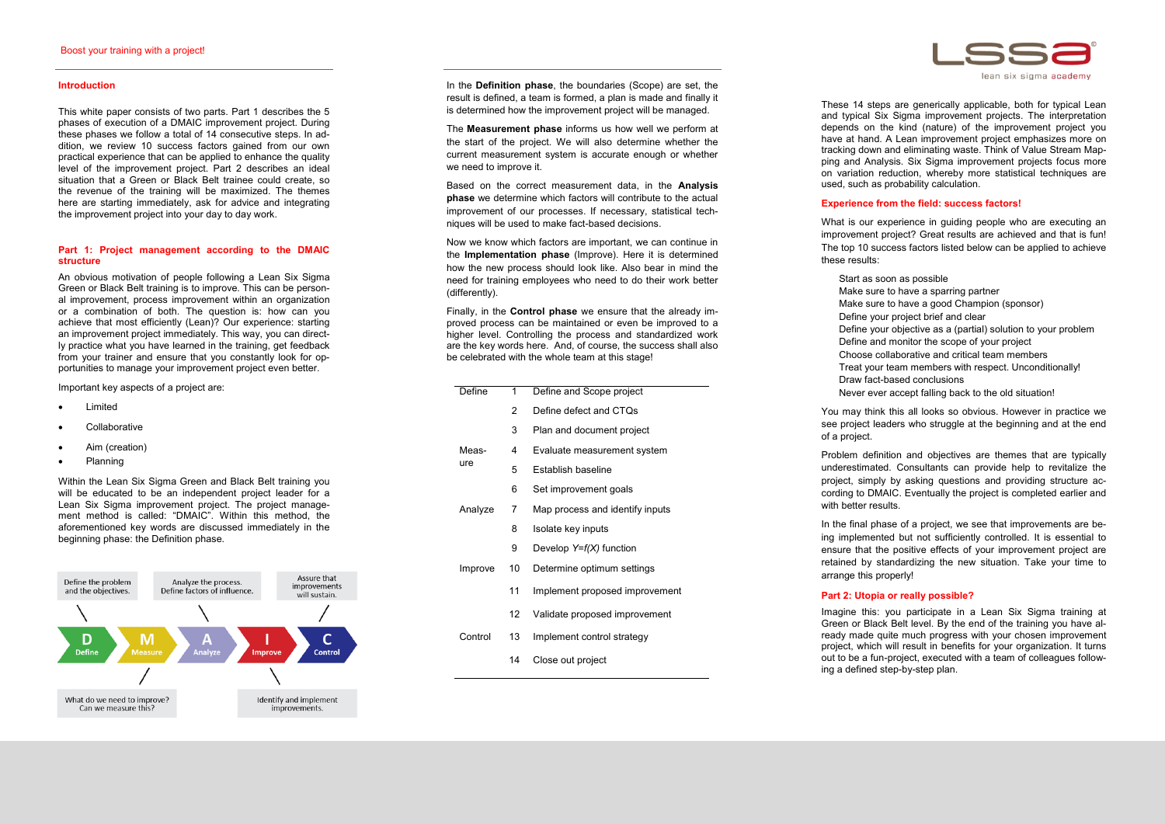### **Introduction**

This white paper consists of two parts. Part 1 describes the 5 phases of execution of a DMAIC improvement project. During these phases we follow a total of 14 consecutive steps. In addition, we review 10 success factors gained from our own practical experience that can be applied to enhance the quality level of the improvement project. Part 2 describes an ideal situation that a Green or Black Belt trainee could create, so the revenue of the training will be maximized. The themes here are starting immediately, ask for advice and integrating the improvement project into your day to day work.

An obvious motivation of people following a Lean Six Sigma Green or Black Belt training is to improve. This can be personal improvement, process improvement within an organization or a combination of both. The question is: how can you achieve that most efficiently (Lean)? Our experience: starting an improvement project immediately. This way, you can directly practice what you have learned in the training, get feedback from your trainer and ensure that you constantly look for opportunities to manage your improvement project even better.

### **Part 1: Project management according to the DMAIC structure**

Important key aspects of a project are:

- Limited
- **Collaborative**
- Aim (creation)
- Planning

Within the Lean Six Sigma Green and Black Belt training you will be educated to be an independent project leader for a Lean Six Sigma improvement project. The project management method is called: "DMAIC". Within this method, the aforementioned key words are discussed immediately in the beginning phase: the Definition phase.



These 14 steps are generically applicable, both for typical Lean and typical Six Sigma improvement projects. The interpretation depends on the kind (nature) of the improvement project you have at hand. A Lean improvement project emphasizes more on tracking down and eliminating waste. Think of Value Stream Mapping and Analysis. Six Sigma improvement projects focus more on variation reduction, whereby more statistical techniques are used, such as probability calculation.

In the **Definition phase**, the boundaries (Scope) are set, the result is defined, a team is formed, a plan is made and finally it is determined how the improvement project will be managed.

The **Measurement phase** informs us how well we perform at the start of the project. We will also determine whether the current measurement system is accurate enough or whether we need to improve it.

Based on the correct measurement data, in the **Analysis phase** we determine which factors will contribute to the actual improvement of our processes. If necessary, statistical techniques will be used to make fact-based decisions.

Now we know which factors are important, we can continue in the **Implementation phase** (Improve). Here it is determined how the new process should look like. Also bear in mind the need for training employees who need to do their work better (differently).

Finally, in the **Control phase** we ensure that the already improved process can be maintained or even be improved to a higher level. Controlling the process and standardized work are the key words here. And, of course, the success shall also be celebrated with the whole team at this stage!

# **Experience from the field: success factors!**

What is our experience in guiding people who are executing an improvement project? Great results are achieved and that is fun! The top 10 success factors listed below can be applied to achieve these results:

- Start as soon as possible
- Make sure to have a sparring partner
- Make sure to have a good Champion (sponsor)
- Define your project brief and clear
- Define your objective as a (partial) solution to your problem Define and monitor the scope of your project
- Choose collaborative and critical team members
- Treat your team members with respect. Unconditionally!
- Draw fact -based conclusions
- Never ever accept falling back to the old situation!

You may think this all looks so obvious. However in practice we see project leaders who struggle at the beginning and at the end of a project.

Problem definition and objectives are themes that are typically underestimated. Consultants can provide help to revitalize the project, simply by asking questions and providing structure according to DMAIC. Eventually the project is completed earlier and with better results.

In the final phase of a project, we see that improvements are being implemented but not sufficiently controlled. It is essential to ensure that the positive effects of your improvement project are retained by standardizing the new situation. Take your time to

arrange this properly!

## **Part 2: Utopia or really possible?**



Imagine this: you participate in a Lean Six Sigma training at Green or Black Belt level. By the end of the training you have already made quite much progress with your chosen improvement project, which will result in benefits for your organization. It turns out to be a fun -project, executed with a team of colleagues following a defined step-by-step plan.

|  | Define       | 1  | Define and Scope project        |
|--|--------------|----|---------------------------------|
|  |              | 2  | Define defect and CTQs          |
|  |              | 3  | Plan and document project       |
|  | Meas-<br>ure | 4  | Evaluate measurement system     |
|  |              | 5  | Establish baseline              |
|  |              | 6  | Set improvement goals           |
|  | Analyze      | 7  | Map process and identify inputs |
|  |              | 8  | Isolate key inputs              |
|  |              | 9  | Develop $Y=f(X)$ function       |
|  | Improve      | 10 | Determine optimum settings      |
|  |              | 11 | Implement proposed improvement  |
|  |              | 12 | Validate proposed improvement   |
|  | Control      | 13 | Implement control strategy      |
|  |              | 14 | Close out project               |
|  |              |    |                                 |